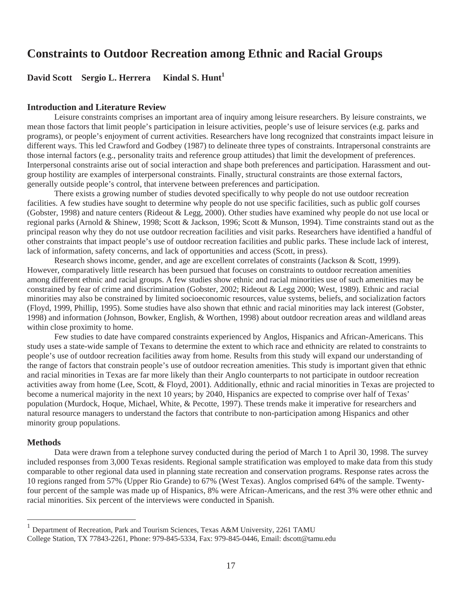# **Constraints to Outdoor Recreation among Ethnic and Racial Groups**

# **David Scott Sergio L. Herrera Kindal S. Hunt<sup>1</sup>**

#### **Introduction and Literature Review**

Leisure constraints comprises an important area of inquiry among leisure researchers. By leisure constraints, we mean those factors that limit people's participation in leisure activities, people's use of leisure services (e.g. parks and programs), or people's enjoyment of current activities. Researchers have long recognized that constraints impact leisure in different ways. This led Crawford and Godbey (1987) to delineate three types of constraints. Intrapersonal constraints are those internal factors (e.g., personality traits and reference group attitudes) that limit the development of preferences. Interpersonal constraints arise out of social interaction and shape both preferences and participation. Harassment and outgroup hostility are examples of interpersonal constraints. Finally, structural constraints are those external factors, generally outside people's control, that intervene between preferences and participation.

There exists a growing number of studies devoted specifically to why people do not use outdoor recreation facilities. A few studies have sought to determine why people do not use specific facilities, such as public golf courses (Gobster, 1998) and nature centers (Rideout & Legg, 2000). Other studies have examined why people do not use local or regional parks (Arnold & Shinew, 1998; Scott & Jackson, 1996; Scott & Munson, 1994). Time constraints stand out as the principal reason why they do not use outdoor recreation facilities and visit parks. Researchers have identified a handful of other constraints that impact people's use of outdoor recreation facilities and public parks. These include lack of interest, lack of information, safety concerns, and lack of opportunities and access (Scott, in press).

Research shows income, gender, and age are excellent correlates of constraints (Jackson & Scott, 1999). However, comparatively little research has been pursued that focuses on constraints to outdoor recreation amenities among different ethnic and racial groups. A few studies show ethnic and racial minorities use of such amenities may be constrained by fear of crime and discrimination (Gobster, 2002; Rideout & Legg 2000; West, 1989). Ethnic and racial minorities may also be constrained by limited socioeconomic resources, value systems, beliefs, and socialization factors (Floyd, 1999, Phillip, 1995). Some studies have also shown that ethnic and racial minorities may lack interest (Gobster, 1998) and information (Johnson, Bowker, English, & Worthen, 1998) about outdoor recreation areas and wildland areas within close proximity to home.

Few studies to date have compared constraints experienced by Anglos, Hispanics and African-Americans. This study uses a state-wide sample of Texans to determine the extent to which race and ethnicity are related to constraints to people's use of outdoor recreation facilities away from home. Results from this study will expand our understanding of the range of factors that constrain people's use of outdoor recreation amenities. This study is important given that ethnic and racial minorities in Texas are far more likely than their Anglo counterparts to not participate in outdoor recreation activities away from home (Lee, Scott, & Floyd, 2001). Additionally, ethnic and racial minorities in Texas are projected to become a numerical majority in the next 10 years; by 2040, Hispanics are expected to comprise over half of Texas' population (Murdock, Hoque, Michael, White, & Pecotte, 1997). These trends make it imperative for researchers and natural resource managers to understand the factors that contribute to non-participation among Hispanics and other minority group populations.

### **Methods**

Data were drawn from a telephone survey conducted during the period of March 1 to April 30, 1998. The survey included responses from 3,000 Texas residents. Regional sample stratification was employed to make data from this study comparable to other regional data used in planning state recreation and conservation programs. Response rates across the 10 regions ranged from 57% (Upper Rio Grande) to 67% (West Texas). Anglos comprised 64% of the sample. Twentyfour percent of the sample was made up of Hispanics, 8% were African-Americans, and the rest 3% were other ethnic and racial minorities. Six percent of the interviews were conducted in Spanish.

<sup>&</sup>lt;sup>1</sup> Department of Recreation, Park and Tourism Sciences, Texas A&M University, 2261 TAMU

College Station, TX 77843-2261, Phone: 979-845-5334, Fax: 979-845-0446, Email: dscott@tamu.edu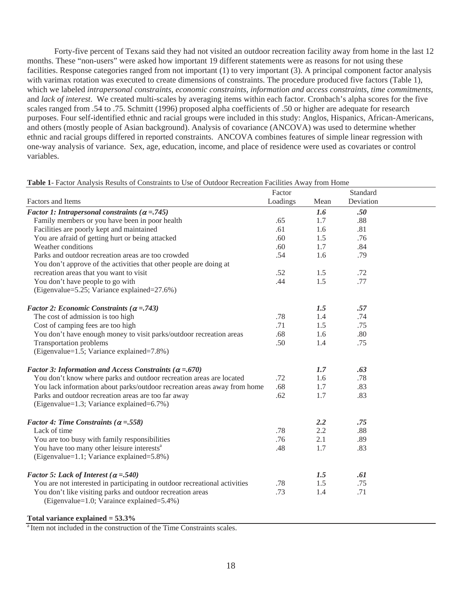Forty-five percent of Texans said they had not visited an outdoor recreation facility away from home in the last 12 months. These "non-users" were asked how important 19 different statements were as reasons for not using these facilities. Response categories ranged from not important (1) to very important (3). A principal component factor analysis with varimax rotation was executed to create dimensions of constraints. The procedure produced five factors (Table 1), which we labeled *intrapersonal constraints*, *economic constraints*, *information and access constraints*, *time commitments*, and *lack of interest*. We created multi-scales by averaging items within each factor. Cronbach's alpha scores for the five scales ranged from .54 to .75. Schmitt (1996) proposed alpha coefficients of .50 or higher are adequate for research purposes. Four self-identified ethnic and racial groups were included in this study: Anglos, Hispanics, African-Americans, and others (mostly people of Asian background). Analysis of covariance (ANCOVA) was used to determine whether ethnic and racial groups differed in reported constraints. ANCOVA combines features of simple linear regression with one-way analysis of variance. Sex, age, education, income, and place of residence were used as covariates or control variables.

|                                                                                                         | Factor   |      | Standard  |  |
|---------------------------------------------------------------------------------------------------------|----------|------|-----------|--|
| Factors and Items                                                                                       | Loadings | Mean | Deviation |  |
| Factor 1: Intrapersonal constraints ( $\alpha$ = .745)                                                  |          | 1.6  | .50       |  |
| Family members or you have been in poor health                                                          | .65      | 1.7  | .88       |  |
| Facilities are poorly kept and maintained                                                               | .61      | 1.6  | .81       |  |
| You are afraid of getting hurt or being attacked                                                        | .60      | 1.5  | .76       |  |
| Weather conditions                                                                                      | .60      | 1.7  | .84       |  |
| Parks and outdoor recreation areas are too crowded                                                      | .54      | 1.6  | .79       |  |
| You don't approve of the activities that other people are doing at                                      |          |      |           |  |
| recreation areas that you want to visit                                                                 | .52      | 1.5  | .72       |  |
| You don't have people to go with                                                                        | .44      | 1.5  | .77       |  |
| (Eigenvalue=5.25; Variance explained=27.6%)                                                             |          |      |           |  |
| Factor 2: Economic Constraints ( $\alpha$ = .743)                                                       |          | 1.5  | .57       |  |
| The cost of admission is too high                                                                       | .78      | 1.4  | .74       |  |
| Cost of camping fees are too high                                                                       | .71      | 1.5  | .75       |  |
| You don't have enough money to visit parks/outdoor recreation areas                                     | .68      | 1.6  | .80       |  |
| <b>Transportation problems</b>                                                                          | .50      | 1.4  | .75       |  |
| (Eigenvalue=1.5; Variance explained=7.8%)                                                               |          |      |           |  |
| Factor 3: Information and Access Constraints ( $\alpha = .670$ )                                        |          | 1.7  | .63       |  |
| You don't know where parks and outdoor recreation areas are located                                     | .72      | 1.6  | .78       |  |
| You lack information about parks/outdoor recreation areas away from home                                | .68      | 1.7  | .83       |  |
| Parks and outdoor recreation areas are too far away                                                     | .62      | 1.7  | .83       |  |
| (Eigenvalue=1.3; Variance explained=6.7%)                                                               |          |      |           |  |
| <i>Factor 4: Time Constraints (<math>\alpha</math> = .558)</i>                                          |          | 2.2  | .75       |  |
| Lack of time                                                                                            | .78      | 2.2  | .88       |  |
| You are too busy with family responsibilities                                                           | .76      | 2.1  | .89       |  |
| You have too many other leisure interests <sup>a</sup>                                                  | .48      | 1.7  | .83       |  |
| (Eigenvalue=1.1; Variance explained=5.8%)                                                               |          |      |           |  |
| Factor 5: Lack of Interest ( $\alpha$ = .540)                                                           |          | 1.5  | .61       |  |
| You are not interested in participating in outdoor recreational activities                              | .78      | 1.5  | .75       |  |
| You don't like visiting parks and outdoor recreation areas<br>(Eigenvalue=1.0; Varaince explained=5.4%) | .73      | 1.4  | .71       |  |

#### **Table 1**- Factor Analysis Results of Constraints to Use of Outdoor Recreation Facilities Away from Home

 **Total variance explained = 53.3%** 

<sup>a</sup> Item not included in the construction of the Time Constraints scales.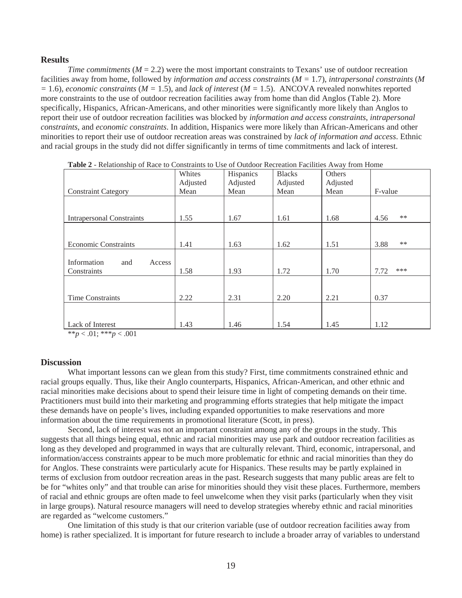#### **Results**

*Time commitments*  $(M = 2.2)$  were the most important constraints to Texans' use of outdoor recreation facilities away from home, followed by *information and access constraints* (*M =* 1.7), *intrapersonal constraints* (*M*   $= 1.6$ ), *economic constraints* ( $M = 1.5$ ), and *lack of interest* ( $M = 1.5$ ). ANCOVA revealed nonwhites reported more constraints to the use of outdoor recreation facilities away from home than did Anglos (Table 2). More specifically, Hispanics, African-Americans, and other minorities were significantly more likely than Anglos to report their use of outdoor recreation facilities was blocked by *information and access constraints*, *intrapersonal constraints*, and *economic constraints*. In addition, Hispanics were more likely than African-Americans and other minorities to report their use of outdoor recreation areas was constrained by *lack of information and access*. Ethnic and racial groups in the study did not differ significantly in terms of time commitments and lack of interest.

|                                  | Whites   | Hispanics | <b>Blacks</b> | Others   |               |
|----------------------------------|----------|-----------|---------------|----------|---------------|
|                                  | Adjusted | Adjusted  | Adjusted      | Adjusted |               |
| <b>Constraint Category</b>       | Mean     | Mean      | Mean          | Mean     | F-value       |
|                                  |          |           |               |          |               |
|                                  |          |           |               |          |               |
| <b>Intrapersonal Constraints</b> | 1.55     | 1.67      | 1.61          | 1.68     | **<br>4.56    |
|                                  |          |           |               |          |               |
|                                  |          |           |               |          |               |
| <b>Economic Constraints</b>      | 1.41     | 1.63      | 1.62          | 1.51     | $***$<br>3.88 |
|                                  |          |           |               |          |               |
| Information<br>and<br>Access     |          |           |               |          |               |
| Constraints                      | 1.58     | 1.93      | 1.72          | 1.70     | ***<br>7.72   |
|                                  |          |           |               |          |               |
|                                  |          |           |               |          |               |
| <b>Time Constraints</b>          | 2.22     | 2.31      | 2.20          | 2.21     | 0.37          |
|                                  |          |           |               |          |               |
|                                  |          |           |               |          |               |
| Lack of Interest                 | 1.43     | 1.46      | 1.54          | 1.45     | 1.12          |

| <b>Table 2</b> - Relationship of Race to Constraints to Use of Outdoor Recreation Facilities Away from Home |  |  |  |
|-------------------------------------------------------------------------------------------------------------|--|--|--|
|-------------------------------------------------------------------------------------------------------------|--|--|--|

\*\**p* < .01; \*\*\**p* < .001

## **Discussion**

What important lessons can we glean from this study? First, time commitments constrained ethnic and racial groups equally. Thus, like their Anglo counterparts, Hispanics, African-American, and other ethnic and racial minorities make decisions about to spend their leisure time in light of competing demands on their time. Practitioners must build into their marketing and programming efforts strategies that help mitigate the impact these demands have on people's lives, including expanded opportunities to make reservations and more information about the time requirements in promotional literature (Scott, in press).

Second, lack of interest was not an important constraint among any of the groups in the study. This suggests that all things being equal, ethnic and racial minorities may use park and outdoor recreation facilities as long as they developed and programmed in ways that are culturally relevant. Third, economic, intrapersonal, and information/access constraints appear to be much more problematic for ethnic and racial minorities than they do for Anglos. These constraints were particularly acute for Hispanics. These results may be partly explained in terms of exclusion from outdoor recreation areas in the past. Research suggests that many public areas are felt to be for "whites only" and that trouble can arise for minorities should they visit these places. Furthermore, members of racial and ethnic groups are often made to feel unwelcome when they visit parks (particularly when they visit in large groups). Natural resource managers will need to develop strategies whereby ethnic and racial minorities are regarded as "welcome customers."

One limitation of this study is that our criterion variable (use of outdoor recreation facilities away from home) is rather specialized. It is important for future research to include a broader array of variables to understand